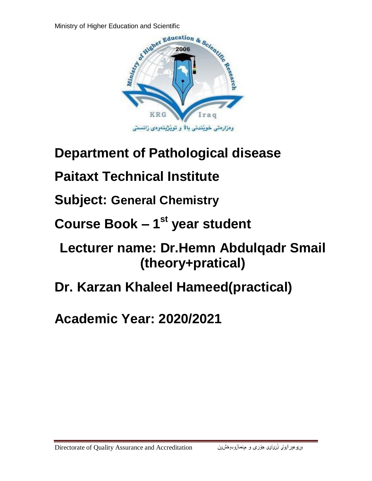

## **Department of Pathological disease**

# **Paitaxt Technical Institute**

**Subject: General Chemistry**

**Course Book – 1 st year student**

## **Lecturer name: Dr.Hemn Abdulqadr Smail (theory+pratical)**

**Dr. Karzan Khaleel Hameed(practical)**

**Academic Year: 2020/2021**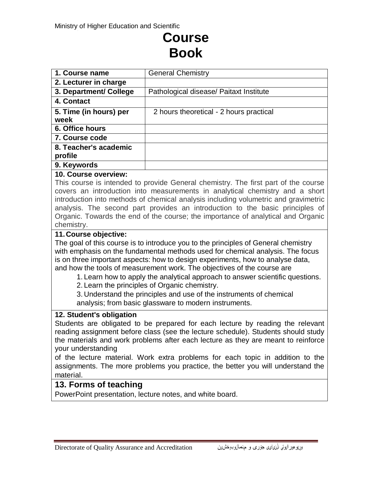## **Course Book**

| 1. Course name         | <b>General Chemistry</b>                |
|------------------------|-----------------------------------------|
| 2. Lecturer in charge  |                                         |
| 3. Department/ College | Pathological disease/ Paitaxt Institute |
| 4. Contact             |                                         |
| 5. Time (in hours) per | 2 hours theoretical - 2 hours practical |
| week                   |                                         |
| 6. Office hours        |                                         |
| 7. Course code         |                                         |
| 8. Teacher's academic  |                                         |
| profile                |                                         |
| 9. Keywords            |                                         |
| $\sim$ $\sim$          |                                         |

#### **10. Course overview:**

This course is intended to provide General chemistry. The first part of the course covers an introduction into measurements in analytical chemistry and a short introduction into methods of chemical analysis including volumetric and gravimetric analysis. The second part provides an introduction to the basic principles of Organic. Towards the end of the course; the importance of analytical and Organic chemistry.

#### **11.Course objective:**

The goal of this course is to introduce you to the principles of General chemistry with emphasis on the fundamental methods used for chemical analysis. The focus is on three important aspects: how to design experiments, how to analyse data, and how the tools of measurement work. The objectives of the course are

- 1. Learn how to apply the analytical approach to answer scientific questions.
- 2. Learn the principles of Organic chemistry.

3. Understand the principles and use of the instruments of chemical analysis; from basic glassware to modern instruments.

#### **12. Student's obligation**

Students are obligated to be prepared for each lecture by reading the relevant reading assignment before class (see the lecture schedule). Students should study the materials and work problems after each lecture as they are meant to reinforce your understanding

of the lecture material. Work extra problems for each topic in addition to the assignments. The more problems you practice, the better you will understand the material.

### **13. Forms of teaching**

PowerPoint presentation, lecture notes, and white board.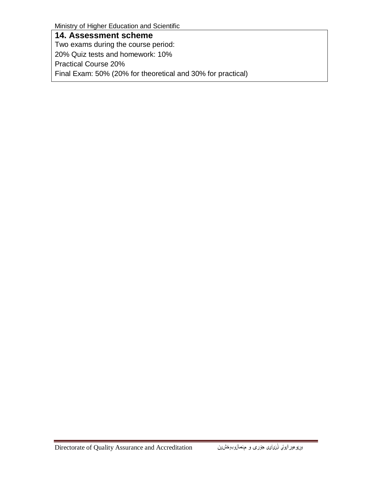Ministry of Higher Education and Scientific

**14. Assessment scheme** Two exams during the course period: 20% Quiz tests and homework: 10% Practical Course 20% Final Exam: 50% (20% for theoretical and 30% for practical)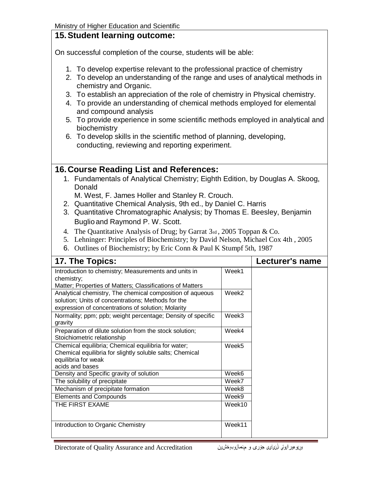## **15. Student learning outcome:**

On successful completion of the course, students will be able:

- 1. To develop expertise relevant to the professional practice of chemistry
- 2. To develop an understanding of the range and uses of analytical methods in chemistry and Organic.
- 3. To establish an appreciation of the role of chemistry in Physical chemistry.
- 4. To provide an understanding of chemical methods employed for elemental and compound analysis
- 5. To provide experience in some scientific methods employed in analytical and biochemistry
- 6. To develop skills in the scientific method of planning, developing, conducting, reviewing and reporting experiment.

## **16.Course Reading List and References:**

- 1. Fundamentals of Analytical Chemistry; Eighth Edition, by Douglas A. Skoog, Donald
	- M. West, F. James Holler and Stanley R. Crouch.
- 2. Quantitative Chemical Analysis, 9th ed., by Daniel C. Harris
- 3. Quantitative Chromatographic Analysis; by Thomas E. Beesley, Benjamin Buglio and Raymond P. W. Scott.
- 4. The Quantitative Analysis of Drug; by Garrat 3rd , 2005 Toppan & Co.
- 5. Lehninger: Principles of Biochemistry; by David Nelson, Michael Cox 4th , 2005
- 6. Outlines of Biochemistry; by Eric Conn & Paul K Stumpf 5th, 1987

| 17. The Topics:                                                                                                                                                       | Lecturer's name |  |
|-----------------------------------------------------------------------------------------------------------------------------------------------------------------------|-----------------|--|
| Introduction to chemistry; Measurements and units in<br>chemistry;<br>Matter; Properties of Matters; Classifications of Matters                                       | Week1           |  |
| Analytical chemistry, The chemical composition of aqueous<br>solution; Units of concentrations; Methods for the<br>expression of concentrations of solution; Molarity | Week2           |  |
| Normality; ppm; ppb; weight percentage; Density of specific<br>gravity                                                                                                | Week3           |  |
| Preparation of dilute solution from the stock solution;<br>Stoichiometric relationship                                                                                | Week4           |  |
| Chemical equilibria; Chemical equilibria for water;<br>Chemical equilibria for slightly soluble salts; Chemical<br>equilibria for weak<br>acids and bases             | Week5           |  |
| Density and Specific gravity of solution                                                                                                                              | Week6           |  |
| The solubility of precipitate                                                                                                                                         | Week7           |  |
| Mechanism of precipitate formation                                                                                                                                    | Week8           |  |
| <b>Elements and Compounds</b>                                                                                                                                         | Week9           |  |
| THE FIRST EXAME                                                                                                                                                       | Week10          |  |
| Introduction to Organic Chemistry                                                                                                                                     | Week11          |  |

Birectorate of Quality Assurance and Accreditation میرپروهبورایوتی نارنیایی جۆری و حهدانوبوخشین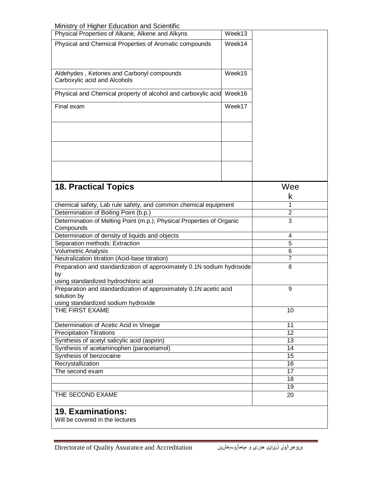Ministry of Higher Education and Scientific

| will live y or ringhor Education and Ocionalio<br>Physical Properties of Alkane, Alkene and Alkyns       | Week13         |                |  |  |
|----------------------------------------------------------------------------------------------------------|----------------|----------------|--|--|
| Physical and Chemical Properties of Aromatic compounds                                                   |                |                |  |  |
|                                                                                                          | Week14         |                |  |  |
|                                                                                                          |                |                |  |  |
|                                                                                                          |                |                |  |  |
| Aldehydes, Ketones and Carbonyl compounds                                                                | Week15         |                |  |  |
| Carboxylic acid and Alcohols                                                                             |                |                |  |  |
|                                                                                                          | Week16         |                |  |  |
| Physical and Chemical property of alcohol and carboxylic acid                                            |                |                |  |  |
| Final exam                                                                                               |                |                |  |  |
|                                                                                                          |                |                |  |  |
|                                                                                                          |                |                |  |  |
|                                                                                                          |                |                |  |  |
|                                                                                                          |                |                |  |  |
|                                                                                                          |                |                |  |  |
|                                                                                                          |                |                |  |  |
|                                                                                                          |                |                |  |  |
|                                                                                                          |                |                |  |  |
|                                                                                                          |                |                |  |  |
| <b>18. Practical Topics</b>                                                                              |                | Wee            |  |  |
|                                                                                                          |                | k              |  |  |
|                                                                                                          |                | 1              |  |  |
| chemical safety, Lab rule safety, and common chemical equipment<br>Determination of Boiling Point (b.p.) |                | $\overline{2}$ |  |  |
|                                                                                                          |                | 3              |  |  |
| Determination of Melting Point (m.p.); Physical Properties of Organic<br>Compounds                       |                |                |  |  |
| Determination of density of liquids and objects                                                          | 4              |                |  |  |
| Separation methods: Extraction                                                                           | $\overline{5}$ |                |  |  |
| <b>Volumetric Analysis</b>                                                                               | 6              |                |  |  |
| Neutralization titration (Acid-base titration)                                                           | 7              |                |  |  |
| Preparation and standardization of approximately 0.1N sodium hydroxide                                   | 8              |                |  |  |
| by                                                                                                       |                |                |  |  |
| using standardized hydrochloric acid                                                                     |                |                |  |  |
| Preparation and standardization of approximately 0.1N acetic acid                                        | 9              |                |  |  |
| solution by                                                                                              |                |                |  |  |
| using standardized sodium hydroxide                                                                      |                |                |  |  |
| THE FIRST EXAME                                                                                          | 10             |                |  |  |
|                                                                                                          |                |                |  |  |
| Determination of Acetic Acid in Vinegar                                                                  | 11             |                |  |  |
| <b>Precipitation Titrations</b>                                                                          | 12             |                |  |  |
| Synthesis of acetyl salicylic acid (aspirin)                                                             | 13             |                |  |  |
| Synthesis of acetaminophen (paracetamol)                                                                 | 14             |                |  |  |
| Synthesis of benzocaine                                                                                  | 15             |                |  |  |
| Recrystallization<br>The second exam                                                                     | 16<br>17       |                |  |  |
|                                                                                                          |                | 18             |  |  |
|                                                                                                          |                | 19             |  |  |
| THE SECOND EXAME                                                                                         |                |                |  |  |
|                                                                                                          |                | 20             |  |  |
| <b>19. Examinations:</b>                                                                                 |                |                |  |  |
|                                                                                                          |                |                |  |  |
| Will be covered in the lectures                                                                          |                |                |  |  |

÷,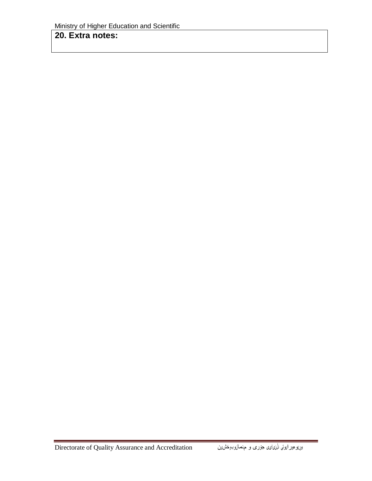### 20. Extra notes: